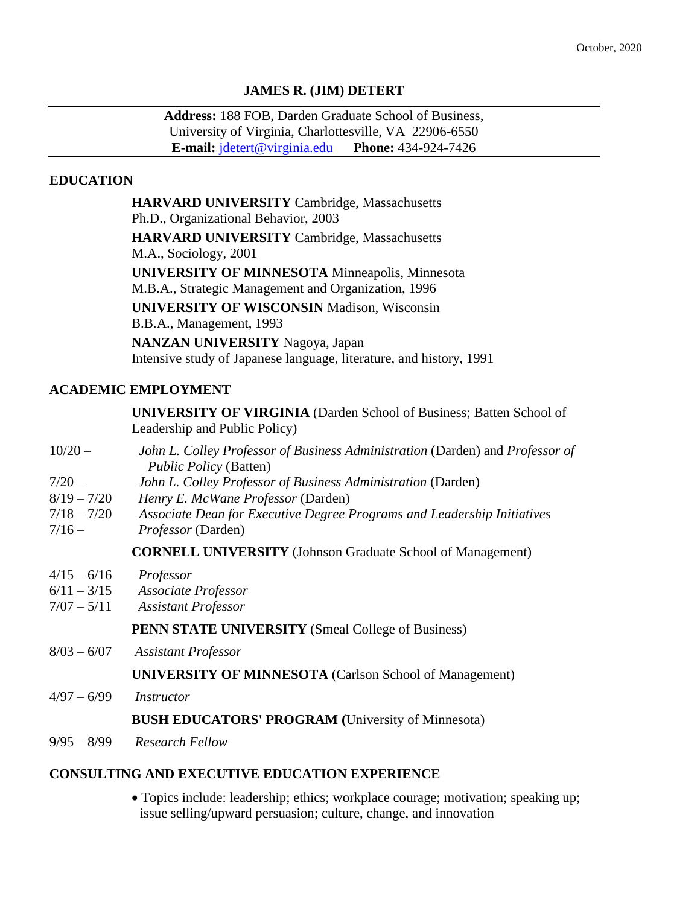#### **JAMES R. (JIM) DETERT**

**Address:** 188 FOB, Darden Graduate School of Business, University of Virginia, Charlottesville, VA 22906-6550 **E-mail:** [jdetert@virginia.edu](mailto:jdetert@virginia.edu) **Phone:** 434-924-7426

### **EDUCATION**

**HARVARD UNIVERSITY** Cambridge, Massachusetts Ph.D., Organizational Behavior, 2003 **HARVARD UNIVERSITY** Cambridge, Massachusetts M.A., Sociology, 2001 **UNIVERSITY OF MINNESOTA** Minneapolis, Minnesota M.B.A., Strategic Management and Organization, 1996 **UNIVERSITY OF WISCONSIN** Madison, Wisconsin B.B.A., Management, 1993 **NANZAN UNIVERSITY** Nagoya, Japan Intensive study of Japanese language, literature, and history, 1991

## **ACADEMIC EMPLOYMENT**

**UNIVERSITY OF VIRGINIA** (Darden School of Business; Batten School of Leadership and Public Policy)

- 10/20 *John L. Colley Professor of Business Administration* (Darden) and *Professor of Public Policy* (Batten)
- 7/20 *John L. Colley Professor of Business Administration* (Darden)
- 8/19 7/20 *Henry E. McWane Professor* (Darden)
- 7/18 7/20 *Associate Dean for Executive Degree Programs and Leadership Initiatives*
- 7/16 *Professor* (Darden)

#### **CORNELL UNIVERSITY** (Johnson Graduate School of Management)

- 4/15 6/16 *Professor*
- 6/11 3/15 *Associate Professor*
- 7/07 5/11 *Assistant Professor*

#### **PENN STATE UNIVERSITY** (Smeal College of Business)

8/03 – 6/07 *Assistant Professor*

#### **UNIVERSITY OF MINNESOTA** (Carlson School of Management)

4/97 – 6/99 *Instructor*

#### **BUSH EDUCATORS' PROGRAM (**University of Minnesota)

9/95 – 8/99 *Research Fellow*

#### **CONSULTING AND EXECUTIVE EDUCATION EXPERIENCE**

 Topics include: leadership; ethics; workplace courage; motivation; speaking up; issue selling/upward persuasion; culture, change, and innovation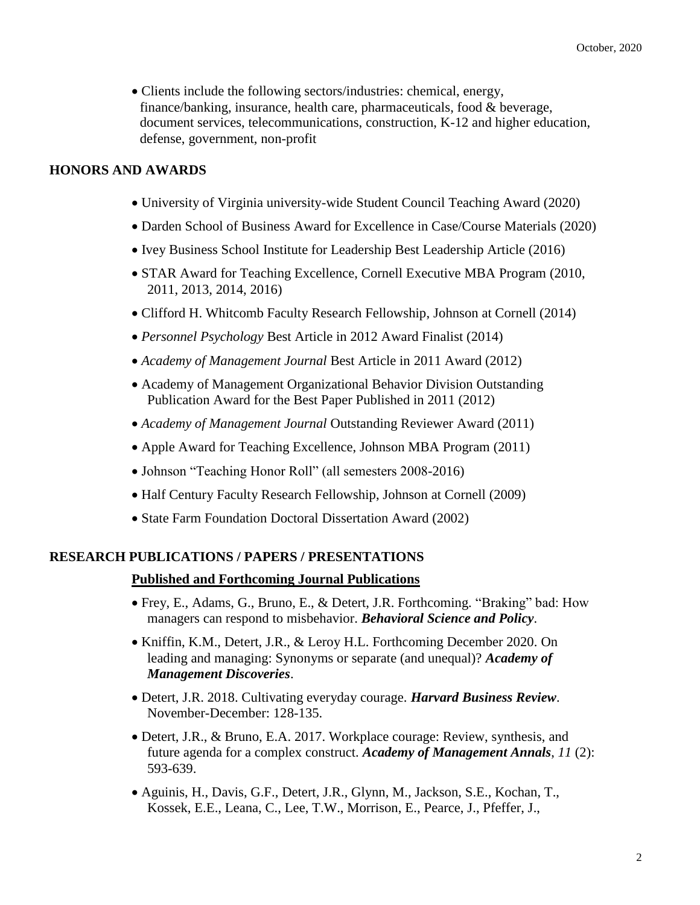• Clients include the following sectors/industries: chemical, energy, finance/banking, insurance, health care, pharmaceuticals, food & beverage, document services, telecommunications, construction, K-12 and higher education, defense, government, non-profit

# **HONORS AND AWARDS**

- University of Virginia university-wide Student Council Teaching Award (2020)
- Darden School of Business Award for Excellence in Case/Course Materials (2020)
- Ivey Business School Institute for Leadership Best Leadership Article (2016)
- STAR Award for Teaching Excellence, Cornell Executive MBA Program (2010, 2011, 2013, 2014, 2016)
- Clifford H. Whitcomb Faculty Research Fellowship, Johnson at Cornell (2014)
- *Personnel Psychology* Best Article in 2012 Award Finalist (2014)
- *Academy of Management Journal* Best Article in 2011 Award (2012)
- Academy of Management Organizational Behavior Division Outstanding Publication Award for the Best Paper Published in 2011 (2012)
- *Academy of Management Journal* Outstanding Reviewer Award (2011)
- Apple Award for Teaching Excellence, Johnson MBA Program (2011)
- Johnson "Teaching Honor Roll" (all semesters 2008-2016)
- Half Century Faculty Research Fellowship, Johnson at Cornell (2009)
- State Farm Foundation Doctoral Dissertation Award (2002)

## **RESEARCH PUBLICATIONS / PAPERS / PRESENTATIONS**

#### **Published and Forthcoming Journal Publications**

- Frey, E., Adams, G., Bruno, E., & Detert, J.R. Forthcoming. "Braking" bad: How managers can respond to misbehavior. *Behavioral Science and Policy*.
- Kniffin, K.M., Detert, J.R., & Leroy H.L. Forthcoming December 2020. On leading and managing: Synonyms or separate (and unequal)? *Academy of Management Discoveries*.
- Detert, J.R. 2018. Cultivating everyday courage. *Harvard Business Review*. November-December: 128-135.
- Detert, J.R., & Bruno, E.A. 2017. Workplace courage: Review, synthesis, and future agenda for a complex construct. *Academy of Management Annals*, *11* (2): 593-639.
- Aguinis, H., Davis, G.F., Detert, J.R., Glynn, M., Jackson, S.E., Kochan, T., Kossek, E.E., Leana, C., Lee, T.W., Morrison, E., Pearce, J., Pfeffer, J.,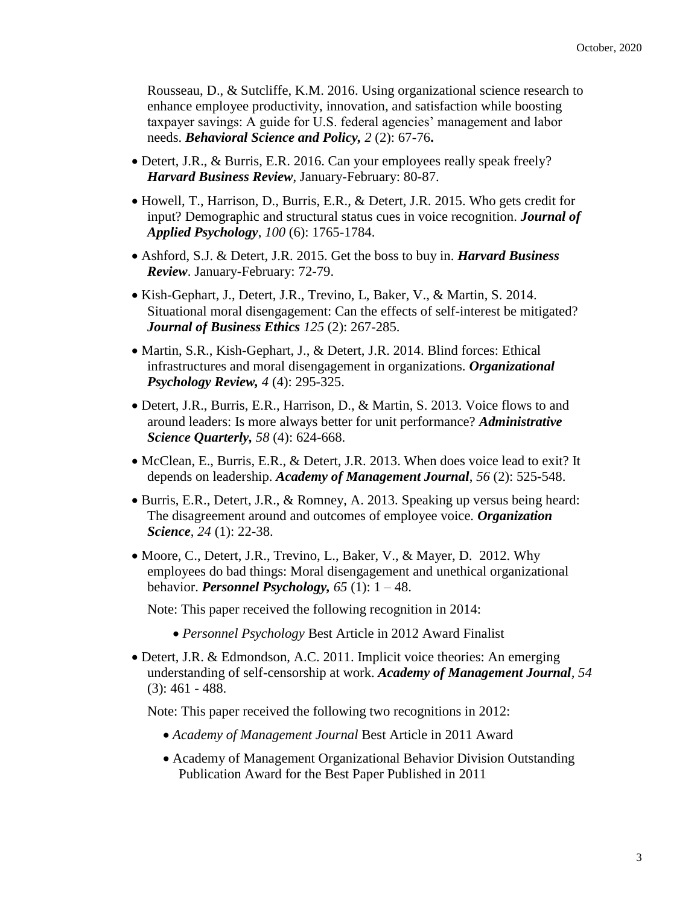Rousseau, D., & Sutcliffe, K.M. 2016. Using organizational science research to enhance employee productivity, innovation, and satisfaction while boosting taxpayer savings: A guide for U.S. federal agencies' management and labor needs. *Behavioral Science and Policy, 2* (2): 67-76**.**

- Detert, J.R., & Burris, E.R. 2016. Can your employees really speak freely? *Harvard Business Review*, January-February: 80-87.
- Howell, T., Harrison, D., Burris, E.R., & Detert, J.R. 2015. Who gets credit for input? Demographic and structural status cues in voice recognition. *Journal of Applied Psychology*, *100* (6): 1765-1784.
- Ashford, S.J. & Detert, J.R. 2015. Get the boss to buy in. *Harvard Business Review*. January-February: 72-79.
- Kish-Gephart, J., Detert, J.R., Trevino, L, Baker, V., & Martin, S. 2014. Situational moral disengagement: Can the effects of self-interest be mitigated? *Journal of Business Ethics 125* (2): 267-285.
- Martin, S.R., Kish-Gephart, J., & Detert, J.R. 2014. Blind forces: Ethical infrastructures and moral disengagement in organizations. *Organizational Psychology Review, 4* (4): 295-325.
- Detert, J.R., Burris, E.R., Harrison, D., & Martin, S. 2013. Voice flows to and around leaders: Is more always better for unit performance? *Administrative Science Quarterly, 58* (4): 624-668.
- McClean, E., Burris, E.R., & Detert, J.R. 2013. When does voice lead to exit? It depends on leadership. *Academy of Management Journal*, *56* (2): 525-548.
- Burris, E.R., Detert, J.R., & Romney, A. 2013. Speaking up versus being heard: The disagreement around and outcomes of employee voice. *Organization Science*, *24* (1): 22-38.
- Moore, C., Detert, J.R., Trevino, L., Baker, V., & Mayer, D. 2012. Why employees do bad things: Moral disengagement and unethical organizational behavior. *Personnel Psychology, 65* (1): 1 – 48.

Note: This paper received the following recognition in 2014:

- *Personnel Psychology* Best Article in 2012 Award Finalist
- Detert, J.R. & Edmondson, A.C. 2011. Implicit voice theories: An emerging understanding of self-censorship at work. *Academy of Management Journal, 54* (3): 461 - 488.

Note: This paper received the following two recognitions in 2012:

- *Academy of Management Journal* Best Article in 2011 Award
- Academy of Management Organizational Behavior Division Outstanding Publication Award for the Best Paper Published in 2011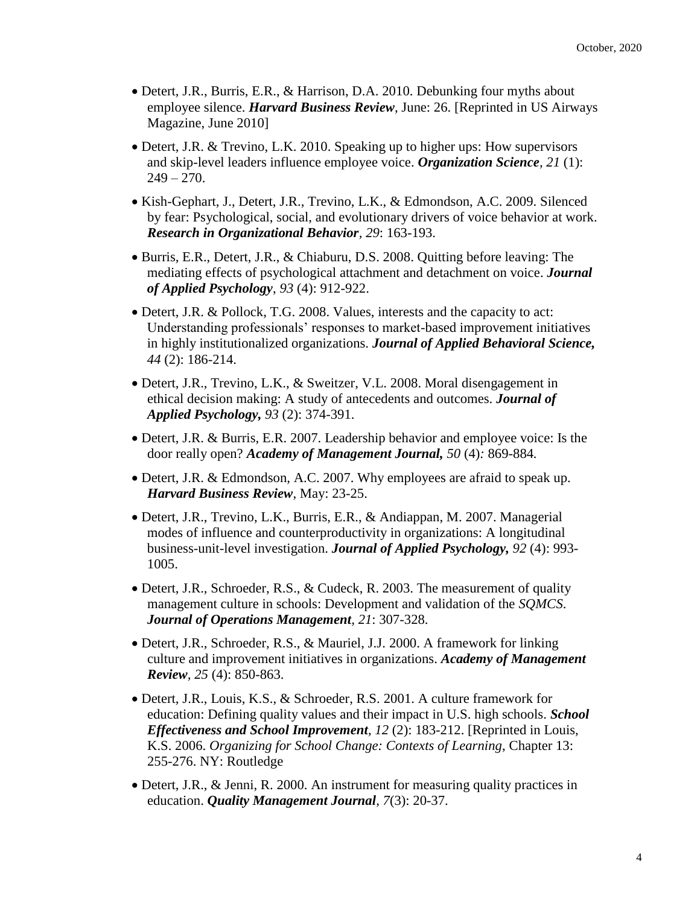- Detert, J.R., Burris, E.R., & Harrison, D.A. 2010. Debunking four myths about employee silence. *Harvard Business Review*, June: 26. [Reprinted in US Airways Magazine, June 2010]
- Detert, J.R. & Trevino, L.K. 2010. Speaking up to higher ups: How supervisors and skip-level leaders influence employee voice. *Organization Science, 21* (1):  $249 - 270.$
- Kish-Gephart, J., Detert, J.R., Trevino, L.K., & Edmondson, A.C. 2009. Silenced by fear: Psychological, social, and evolutionary drivers of voice behavior at work. *Research in Organizational Behavior, 29*: 163-193.
- Burris, E.R., Detert, J.R., & Chiaburu, D.S. 2008. Quitting before leaving: The mediating effects of psychological attachment and detachment on voice. *Journal of Applied Psychology*, *93* (4): 912-922.
- Detert, J.R. & Pollock, T.G. 2008. Values, interests and the capacity to act: Understanding professionals' responses to market-based improvement initiatives in highly institutionalized organizations. *Journal of Applied Behavioral Science, 44* (2): 186-214.
- Detert, J.R., Trevino, L.K., & Sweitzer, V.L. 2008. Moral disengagement in ethical decision making: A study of antecedents and outcomes. *Journal of Applied Psychology, 93* (2): 374-391.
- Detert, J.R. & Burris, E.R. 2007. Leadership behavior and employee voice: Is the door really open? *Academy of Management Journal, 50* (4)*:* 869-884*.*
- Detert, J.R. & Edmondson, A.C. 2007. Why employees are afraid to speak up. *Harvard Business Review*, May: 23-25.
- Detert, J.R., Trevino, L.K., Burris, E.R., & Andiappan, M. 2007. Managerial modes of influence and counterproductivity in organizations: A longitudinal business-unit-level investigation. *Journal of Applied Psychology, 92* (4): 993- 1005.
- Detert, J.R., Schroeder, R.S., & Cudeck, R. 2003. The measurement of quality management culture in schools: Development and validation of the *SQMCS*. *Journal of Operations Management, 21*: 307-328.
- Detert, J.R., Schroeder, R.S., & Mauriel, J.J. 2000. A framework for linking culture and improvement initiatives in organizations. *Academy of Management Review, 25* (4): 850-863.
- Detert, J.R., Louis, K.S., & Schroeder, R.S. 2001. A culture framework for education: Defining quality values and their impact in U.S. high schools. *School Effectiveness and School Improvement, 12* (2): 183-212. [Reprinted in Louis, K.S. 2006. *Organizing for School Change: Contexts of Learning*, Chapter 13: 255-276. NY: Routledge
- Detert, J.R., & Jenni, R. 2000. An instrument for measuring quality practices in education. *Quality Management Journal*, *7*(3): 20-37.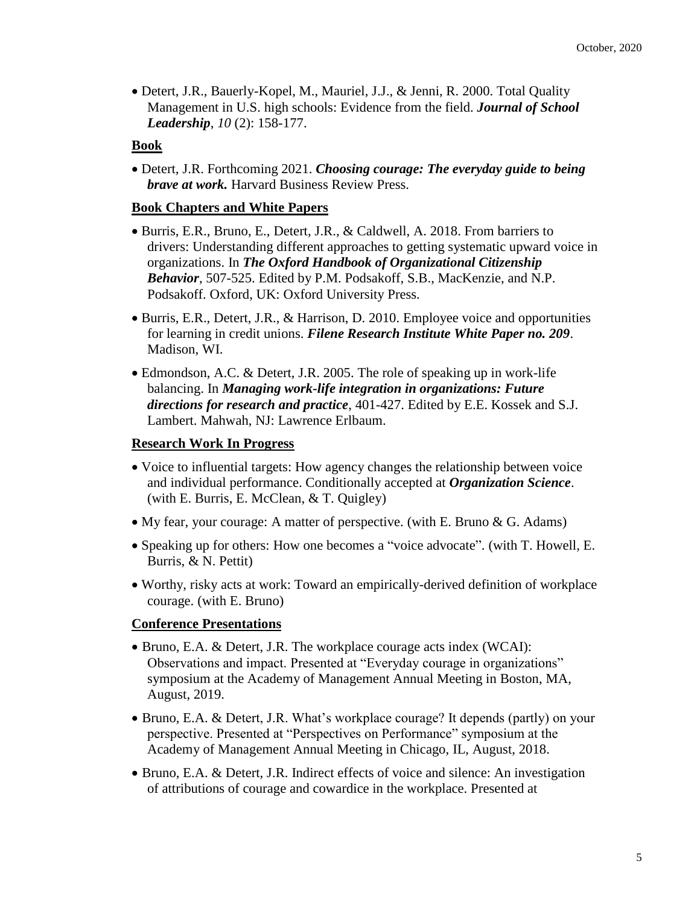Detert, J.R., Bauerly-Kopel, M., Mauriel, J.J., & Jenni, R. 2000. Total Quality Management in U.S. high schools: Evidence from the field. *Journal of School Leadership*, *10* (2): 158-177.

### **Book**

 Detert, J.R. Forthcoming 2021. *Choosing courage: The everyday guide to being brave at work.* Harvard Business Review Press.

### **Book Chapters and White Papers**

- Burris, E.R., Bruno, E., Detert, J.R., & Caldwell, A. 2018. From barriers to drivers: Understanding different approaches to getting systematic upward voice in organizations. In *The Oxford Handbook of Organizational Citizenship Behavior*, 507-525. Edited by P.M. Podsakoff, S.B., MacKenzie, and N.P. Podsakoff. Oxford, UK: Oxford University Press.
- Burris, E.R., Detert, J.R., & Harrison, D. 2010. Employee voice and opportunities for learning in credit unions. *Filene Research Institute White Paper no. 209*. Madison, WI.
- Edmondson, A.C. & Detert, J.R. 2005. The role of speaking up in work-life balancing. In *Managing work-life integration in organizations: Future directions for research and practice*, 401-427. Edited by E.E. Kossek and S.J. Lambert. Mahwah, NJ: Lawrence Erlbaum.

### **Research Work In Progress**

- Voice to influential targets: How agency changes the relationship between voice and individual performance. Conditionally accepted at *Organization Science*. (with E. Burris, E. McClean, & T. Quigley)
- My fear, your courage: A matter of perspective. (with E. Bruno & G. Adams)
- Speaking up for others: How one becomes a "voice advocate". (with T. Howell, E. Burris, & N. Pettit)
- Worthy, risky acts at work: Toward an empirically-derived definition of workplace courage. (with E. Bruno)

## **Conference Presentations**

- Bruno, E.A. & Detert, J.R. The workplace courage acts index (WCAI): Observations and impact. Presented at "Everyday courage in organizations" symposium at the Academy of Management Annual Meeting in Boston, MA, August, 2019.
- Bruno, E.A. & Detert, J.R. What's workplace courage? It depends (partly) on your perspective. Presented at "Perspectives on Performance" symposium at the Academy of Management Annual Meeting in Chicago, IL, August, 2018.
- Bruno, E.A. & Detert, J.R. Indirect effects of voice and silence: An investigation of attributions of courage and cowardice in the workplace. Presented at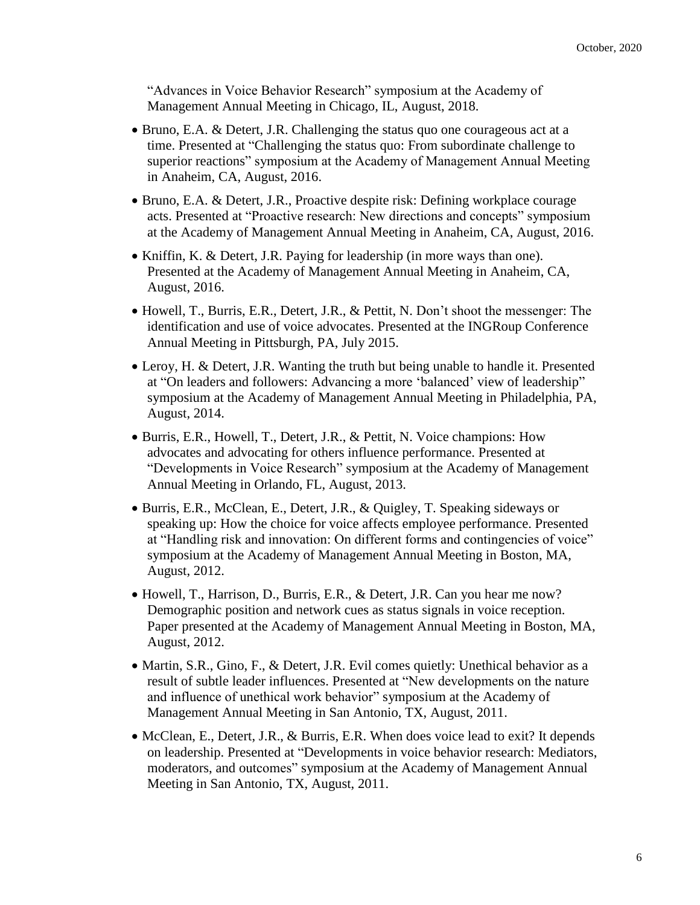"Advances in Voice Behavior Research" symposium at the Academy of Management Annual Meeting in Chicago, IL, August, 2018.

- Bruno, E.A. & Detert, J.R. Challenging the status quo one courageous act at a time. Presented at "Challenging the status quo: From subordinate challenge to superior reactions" symposium at the Academy of Management Annual Meeting in Anaheim, CA, August, 2016.
- Bruno, E.A. & Detert, J.R., Proactive despite risk: Defining workplace courage acts. Presented at "Proactive research: New directions and concepts" symposium at the Academy of Management Annual Meeting in Anaheim, CA, August, 2016.
- Kniffin, K. & Detert, J.R. Paying for leadership (in more ways than one). Presented at the Academy of Management Annual Meeting in Anaheim, CA, August, 2016.
- Howell, T., Burris, E.R., Detert, J.R., & Pettit, N. Don't shoot the messenger: The identification and use of voice advocates. Presented at the INGRoup Conference Annual Meeting in Pittsburgh, PA, July 2015.
- Leroy, H. & Detert, J.R. Wanting the truth but being unable to handle it. Presented at "On leaders and followers: Advancing a more 'balanced' view of leadership" symposium at the Academy of Management Annual Meeting in Philadelphia, PA, August, 2014.
- Burris, E.R., Howell, T., Detert, J.R., & Pettit, N. Voice champions: How advocates and advocating for others influence performance. Presented at "Developments in Voice Research" symposium at the Academy of Management Annual Meeting in Orlando, FL, August, 2013.
- Burris, E.R., McClean, E., Detert, J.R., & Quigley, T. Speaking sideways or speaking up: How the choice for voice affects employee performance. Presented at "Handling risk and innovation: On different forms and contingencies of voice" symposium at the Academy of Management Annual Meeting in Boston, MA, August, 2012.
- Howell, T., Harrison, D., Burris, E.R., & Detert, J.R. Can you hear me now? Demographic position and network cues as status signals in voice reception. Paper presented at the Academy of Management Annual Meeting in Boston, MA, August, 2012.
- Martin, S.R., Gino, F., & Detert, J.R. Evil comes quietly: Unethical behavior as a result of subtle leader influences. Presented at "New developments on the nature and influence of unethical work behavior" symposium at the Academy of Management Annual Meeting in San Antonio, TX, August, 2011.
- McClean, E., Detert, J.R., & Burris, E.R. When does voice lead to exit? It depends on leadership. Presented at "Developments in voice behavior research: Mediators, moderators, and outcomes" symposium at the Academy of Management Annual Meeting in San Antonio, TX, August, 2011.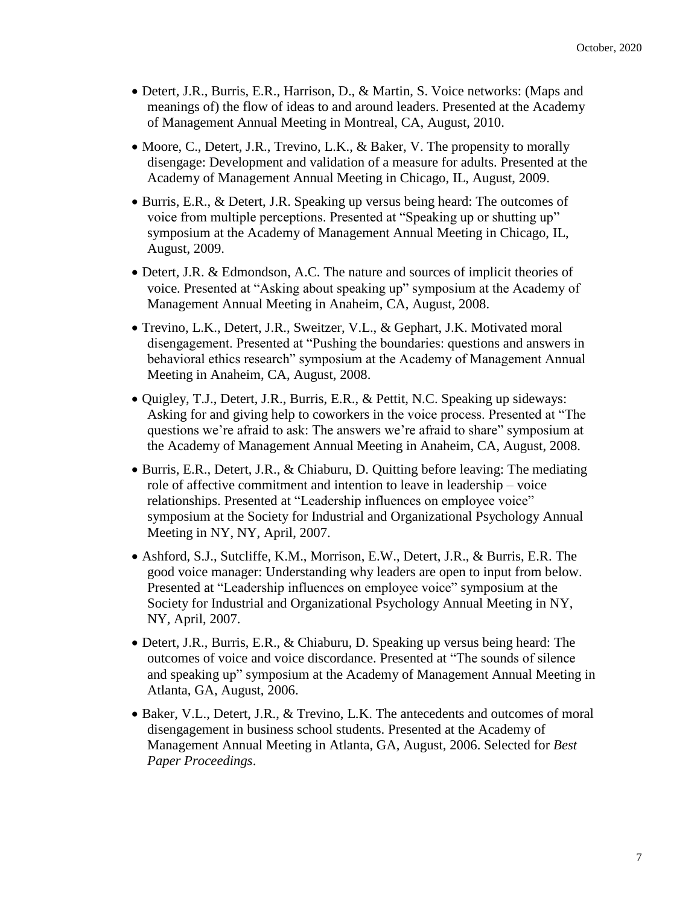- Detert, J.R., Burris, E.R., Harrison, D., & Martin, S. Voice networks: (Maps and meanings of) the flow of ideas to and around leaders. Presented at the Academy of Management Annual Meeting in Montreal, CA, August, 2010.
- Moore, C., Detert, J.R., Trevino, L.K., & Baker, V. The propensity to morally disengage: Development and validation of a measure for adults. Presented at the Academy of Management Annual Meeting in Chicago, IL, August, 2009.
- Burris, E.R., & Detert, J.R. Speaking up versus being heard: The outcomes of voice from multiple perceptions. Presented at "Speaking up or shutting up" symposium at the Academy of Management Annual Meeting in Chicago, IL, August, 2009.
- Detert, J.R. & Edmondson, A.C. The nature and sources of implicit theories of voice. Presented at "Asking about speaking up" symposium at the Academy of Management Annual Meeting in Anaheim, CA, August, 2008.
- Trevino, L.K., Detert, J.R., Sweitzer, V.L., & Gephart, J.K. Motivated moral disengagement. Presented at "Pushing the boundaries: questions and answers in behavioral ethics research" symposium at the Academy of Management Annual Meeting in Anaheim, CA, August, 2008.
- Quigley, T.J., Detert, J.R., Burris, E.R., & Pettit, N.C. Speaking up sideways: Asking for and giving help to coworkers in the voice process. Presented at "The questions we're afraid to ask: The answers we're afraid to share" symposium at the Academy of Management Annual Meeting in Anaheim, CA, August, 2008.
- Burris, E.R., Detert, J.R., & Chiaburu, D. Quitting before leaving: The mediating role of affective commitment and intention to leave in leadership – voice relationships. Presented at "Leadership influences on employee voice" symposium at the Society for Industrial and Organizational Psychology Annual Meeting in NY, NY, April, 2007.
- Ashford, S.J., Sutcliffe, K.M., Morrison, E.W., Detert, J.R., & Burris, E.R. The good voice manager: Understanding why leaders are open to input from below. Presented at "Leadership influences on employee voice" symposium at the Society for Industrial and Organizational Psychology Annual Meeting in NY, NY, April, 2007.
- Detert, J.R., Burris, E.R., & Chiaburu, D. Speaking up versus being heard: The outcomes of voice and voice discordance. Presented at "The sounds of silence and speaking up" symposium at the Academy of Management Annual Meeting in Atlanta, GA, August, 2006.
- Baker, V.L., Detert, J.R., & Trevino, L.K. The antecedents and outcomes of moral disengagement in business school students. Presented at the Academy of Management Annual Meeting in Atlanta, GA, August, 2006. Selected for *Best Paper Proceedings*.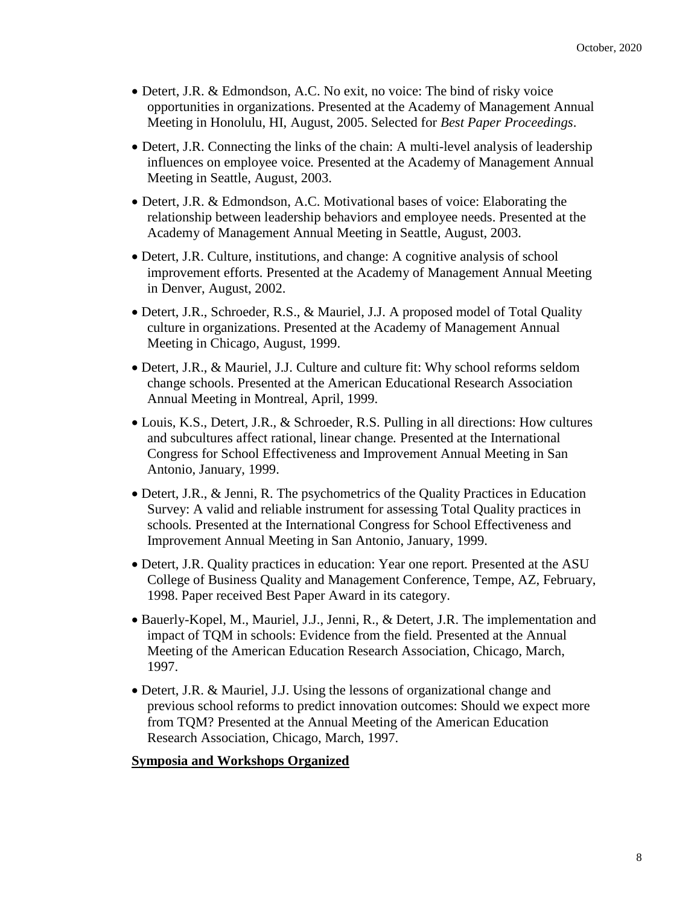- Detert, J.R. & Edmondson, A.C. No exit, no voice: The bind of risky voice opportunities in organizations. Presented at the Academy of Management Annual Meeting in Honolulu, HI, August, 2005. Selected for *Best Paper Proceedings*.
- Detert, J.R. Connecting the links of the chain: A multi-level analysis of leadership influences on employee voice*.* Presented at the Academy of Management Annual Meeting in Seattle, August, 2003.
- Detert, J.R. & Edmondson, A.C. Motivational bases of voice: Elaborating the relationship between leadership behaviors and employee needs. Presented at the Academy of Management Annual Meeting in Seattle, August, 2003.
- Detert, J.R. Culture, institutions, and change: A cognitive analysis of school improvement efforts*.* Presented at the Academy of Management Annual Meeting in Denver, August, 2002.
- Detert, J.R., Schroeder, R.S., & Mauriel, J.J. A proposed model of Total Quality culture in organizations. Presented at the Academy of Management Annual Meeting in Chicago, August, 1999.
- Detert, J.R., & Mauriel, J.J. Culture and culture fit: Why school reforms seldom change schools. Presented at the American Educational Research Association Annual Meeting in Montreal, April, 1999.
- Louis, K.S., Detert, J.R., & Schroeder, R.S. Pulling in all directions: How cultures and subcultures affect rational, linear change*.* Presented at the International Congress for School Effectiveness and Improvement Annual Meeting in San Antonio, January, 1999.
- Detert, J.R., & Jenni, R. The psychometrics of the Quality Practices in Education Survey: A valid and reliable instrument for assessing Total Quality practices in schools*.* Presented at the International Congress for School Effectiveness and Improvement Annual Meeting in San Antonio, January, 1999.
- Detert, J.R. Quality practices in education: Year one report*.* Presented at the ASU College of Business Quality and Management Conference, Tempe, AZ, February, 1998. Paper received Best Paper Award in its category.
- Bauerly-Kopel, M., Mauriel, J.J., Jenni, R., & Detert, J.R. The implementation and impact of TQM in schools: Evidence from the field*.* Presented at the Annual Meeting of the American Education Research Association, Chicago, March, 1997.
- Detert, J.R. & Mauriel, J.J. Using the lessons of organizational change and previous school reforms to predict innovation outcomes: Should we expect more from TQM? Presented at the Annual Meeting of the American Education Research Association, Chicago, March, 1997.

#### **Symposia and Workshops Organized**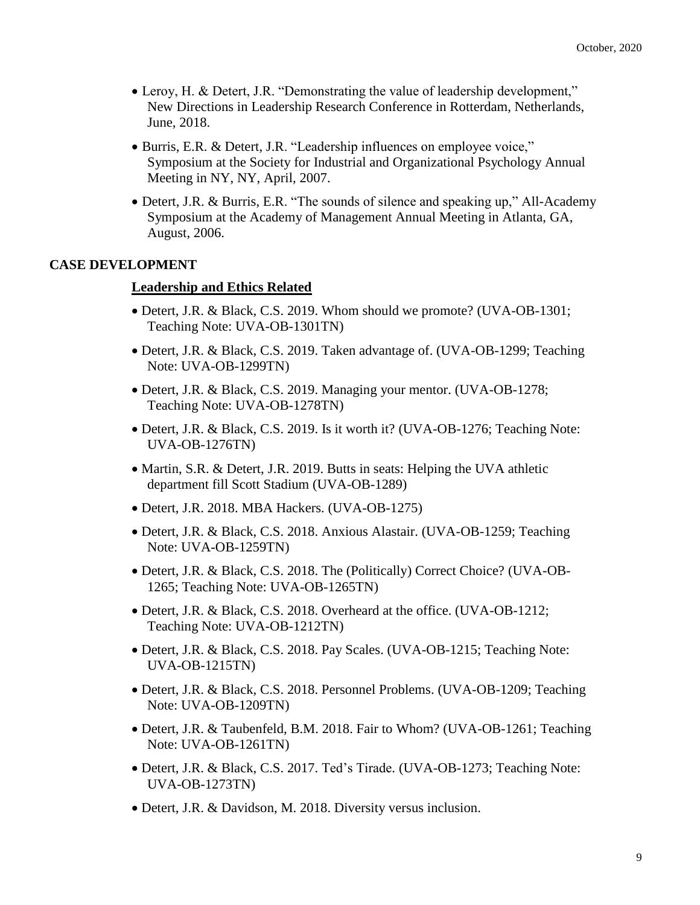- Leroy, H. & Detert, J.R. "Demonstrating the value of leadership development," New Directions in Leadership Research Conference in Rotterdam, Netherlands, June, 2018.
- Burris, E.R. & Detert, J.R. "Leadership influences on employee voice," Symposium at the Society for Industrial and Organizational Psychology Annual Meeting in NY, NY, April, 2007.
- Detert, J.R. & Burris, E.R. "The sounds of silence and speaking up," All-Academy Symposium at the Academy of Management Annual Meeting in Atlanta, GA, August, 2006.

#### **CASE DEVELOPMENT**

#### **Leadership and Ethics Related**

- Detert, J.R. & Black, C.S. 2019. Whom should we promote? (UVA-OB-1301; Teaching Note: UVA-OB-1301TN)
- Detert, J.R. & Black, C.S. 2019. Taken advantage of. (UVA-OB-1299; Teaching Note: UVA-OB-1299TN)
- Detert, J.R. & Black, C.S. 2019. Managing your mentor. (UVA-OB-1278; Teaching Note: UVA-OB-1278TN)
- Detert, J.R. & Black, C.S. 2019. Is it worth it? (UVA-OB-1276; Teaching Note: UVA-OB-1276TN)
- Martin, S.R. & Detert, J.R. 2019. Butts in seats: Helping the UVA athletic department fill Scott Stadium (UVA-OB-1289)
- Detert, J.R. 2018. MBA Hackers. (UVA-OB-1275)
- Detert, J.R. & Black, C.S. 2018. Anxious Alastair. (UVA-OB-1259; Teaching Note: UVA-OB-1259TN)
- Detert, J.R. & Black, C.S. 2018. The (Politically) Correct Choice? (UVA-OB-1265; Teaching Note: UVA-OB-1265TN)
- Detert, J.R. & Black, C.S. 2018. Overheard at the office. (UVA-OB-1212; Teaching Note: UVA-OB-1212TN)
- Detert, J.R. & Black, C.S. 2018. Pay Scales. (UVA-OB-1215; Teaching Note: UVA-OB-1215TN)
- Detert, J.R. & Black, C.S. 2018. Personnel Problems. (UVA-OB-1209; Teaching Note: UVA-OB-1209TN)
- Detert, J.R. & Taubenfeld, B.M. 2018. Fair to Whom? (UVA-OB-1261; Teaching Note: UVA-OB-1261TN)
- Detert, J.R. & Black, C.S. 2017. Ted's Tirade. (UVA-OB-1273; Teaching Note: UVA-OB-1273TN)
- Detert, J.R. & Davidson, M. 2018. Diversity versus inclusion.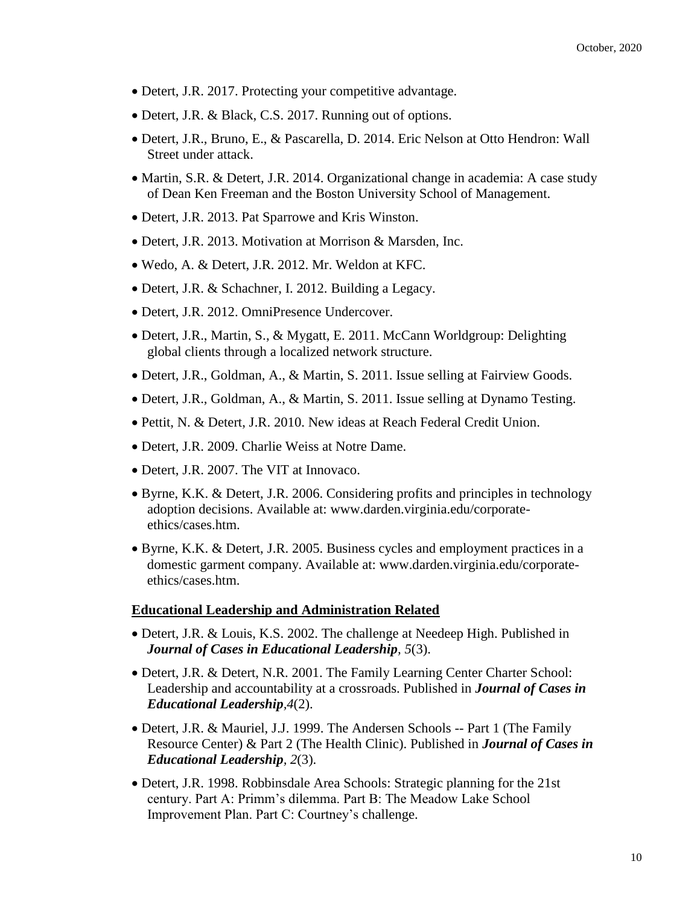- Detert, J.R. 2017. Protecting your competitive advantage.
- Detert, J.R. & Black, C.S. 2017. Running out of options.
- Detert, J.R., Bruno, E., & Pascarella, D. 2014. Eric Nelson at Otto Hendron: Wall Street under attack.
- Martin, S.R. & Detert, J.R. 2014. Organizational change in academia: A case study of Dean Ken Freeman and the Boston University School of Management.
- Detert, J.R. 2013. Pat Sparrowe and Kris Winston.
- Detert, J.R. 2013. Motivation at Morrison & Marsden, Inc.
- Wedo, A. & Detert, J.R. 2012. Mr. Weldon at KFC.
- Detert, J.R. & Schachner, I. 2012. Building a Legacy.
- Detert, J.R. 2012. OmniPresence Undercover.
- Detert, J.R., Martin, S., & Mygatt, E. 2011. McCann Worldgroup: Delighting global clients through a localized network structure.
- Detert, J.R., Goldman, A., & Martin, S. 2011. Issue selling at Fairview Goods.
- Detert, J.R., Goldman, A., & Martin, S. 2011. Issue selling at Dynamo Testing.
- Pettit, N. & Detert, J.R. 2010. New ideas at Reach Federal Credit Union.
- Detert, J.R. 2009. Charlie Weiss at Notre Dame.
- Detert, J.R. 2007. The VIT at Innovaco.
- Byrne, K.K. & Detert, J.R. 2006. Considering profits and principles in technology adoption decisions. Available at: www.darden.virginia.edu/corporateethics/cases.htm.
- Byrne, K.K. & Detert, J.R. 2005. Business cycles and employment practices in a domestic garment company. Available at: www.darden.virginia.edu/corporateethics/cases.htm.

#### **Educational Leadership and Administration Related**

- Detert, J.R. & Louis, K.S. 2002. The challenge at Needeep High. Published in *Journal of Cases in Educational Leadership, 5*(3).
- Detert, J.R. & Detert, N.R. 2001. The Family Learning Center Charter School: Leadership and accountability at a crossroads. Published in *Journal of Cases in Educational Leadership,4*(2).
- Detert, J.R. & Mauriel, J.J. 1999. The Andersen Schools -- Part 1 (The Family Resource Center) & Part 2 (The Health Clinic). Published in *Journal of Cases in Educational Leadership, 2*(3).
- Detert, J.R. 1998. Robbinsdale Area Schools: Strategic planning for the 21st century. Part A: Primm's dilemma. Part B: The Meadow Lake School Improvement Plan. Part C: Courtney's challenge.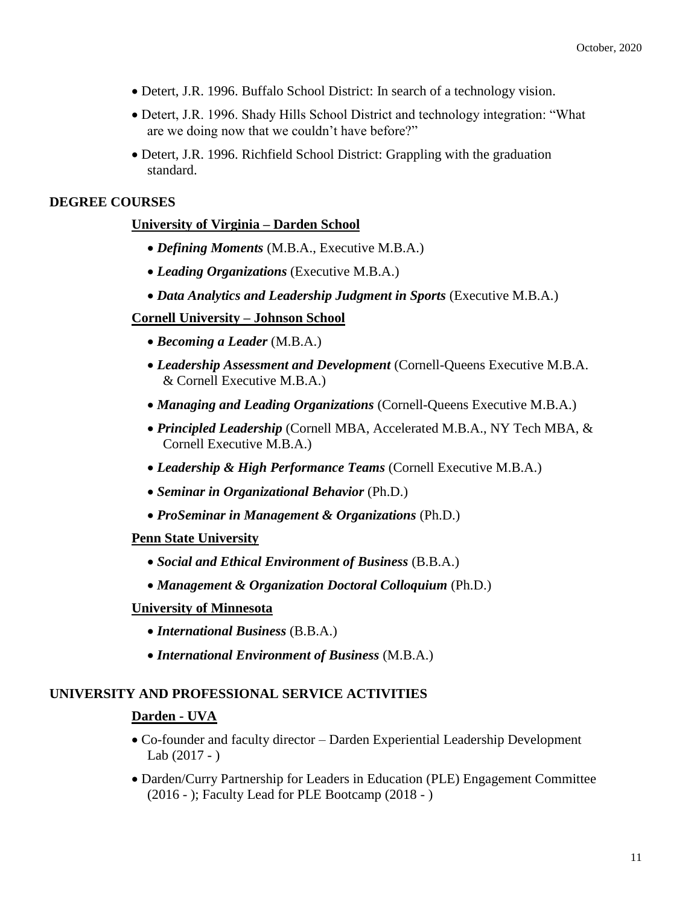- Detert, J.R. 1996. Buffalo School District: In search of a technology vision.
- Detert, J.R. 1996. Shady Hills School District and technology integration: "What are we doing now that we couldn't have before?"
- Detert, J.R. 1996. Richfield School District: Grappling with the graduation standard.

### **DEGREE COURSES**

#### **University of Virginia – Darden School**

- *Defining Moments* (M.B.A., Executive M.B.A.)
- *Leading Organizations* (Executive M.B.A.)
- *Data Analytics and Leadership Judgment in Sports* (Executive M.B.A.)

#### **Cornell University – Johnson School**

- *Becoming a Leader* (M.B.A.)
- *Leadership Assessment and Development* (Cornell-Queens Executive M.B.A. & Cornell Executive M.B.A.)
- *Managing and Leading Organizations* (Cornell-Queens Executive M.B.A.)
- *Principled Leadership* (Cornell MBA, Accelerated M.B.A., NY Tech MBA, & Cornell Executive M.B.A.)
- *Leadership & High Performance Teams* (Cornell Executive M.B.A.)
- *Seminar in Organizational Behavior* (Ph.D.)
- *ProSeminar in Management & Organizations* (Ph.D.)

#### **Penn State University**

- *Social and Ethical Environment of Business* (B.B.A.)
- *Management & Organization Doctoral Colloquium* (Ph.D.)

#### **University of Minnesota**

- *International Business* (B.B.A.)
- *International Environment of Business* (M.B.A.)

### **UNIVERSITY AND PROFESSIONAL SERVICE ACTIVITIES**

### **Darden - UVA**

- Co-founder and faculty director Darden Experiential Leadership Development Lab (2017 - )
- Darden/Curry Partnership for Leaders in Education (PLE) Engagement Committee (2016 - ); Faculty Lead for PLE Bootcamp (2018 - )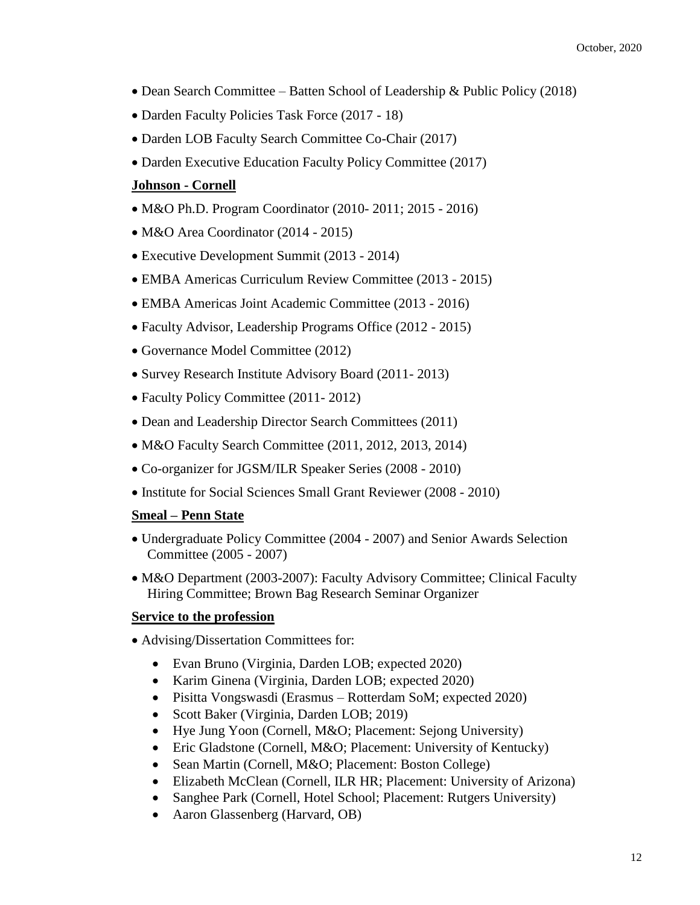- Dean Search Committee Batten School of Leadership & Public Policy (2018)
- Darden Faculty Policies Task Force (2017 18)
- Darden LOB Faculty Search Committee Co-Chair (2017)
- Darden Executive Education Faculty Policy Committee (2017)

## **Johnson - Cornell**

- M&O Ph.D. Program Coordinator (2010- 2011; 2015 2016)
- M&O Area Coordinator (2014 2015)
- Executive Development Summit (2013 2014)
- EMBA Americas Curriculum Review Committee (2013 2015)
- EMBA Americas Joint Academic Committee (2013 2016)
- Faculty Advisor, Leadership Programs Office (2012 2015)
- Governance Model Committee (2012)
- Survey Research Institute Advisory Board (2011-2013)
- Faculty Policy Committee (2011-2012)
- Dean and Leadership Director Search Committees (2011)
- M&O Faculty Search Committee (2011, 2012, 2013, 2014)
- Co-organizer for JGSM/ILR Speaker Series (2008 2010)
- Institute for Social Sciences Small Grant Reviewer (2008 2010)

## **Smeal – Penn State**

- Undergraduate Policy Committee (2004 2007) and Senior Awards Selection Committee (2005 - 2007)
- M&O Department (2003-2007): Faculty Advisory Committee; Clinical Faculty Hiring Committee; Brown Bag Research Seminar Organizer

# **Service to the profession**

- Advising/Dissertation Committees for:
	- Evan Bruno (Virginia, Darden LOB; expected 2020)
	- Karim Ginena (Virginia, Darden LOB; expected 2020)
	- Pisitta Vongswasdi (Erasmus Rotterdam SoM; expected 2020)
	- Scott Baker (Virginia, Darden LOB; 2019)
	- Hye Jung Yoon (Cornell, M&O; Placement: Sejong University)
	- Eric Gladstone (Cornell, M&O; Placement: University of Kentucky)
	- Sean Martin (Cornell, M&O; Placement: Boston College)
	- Elizabeth McClean (Cornell, ILR HR; Placement: University of Arizona)
	- Sanghee Park (Cornell, Hotel School; Placement: Rutgers University)
	- Aaron Glassenberg (Harvard, OB)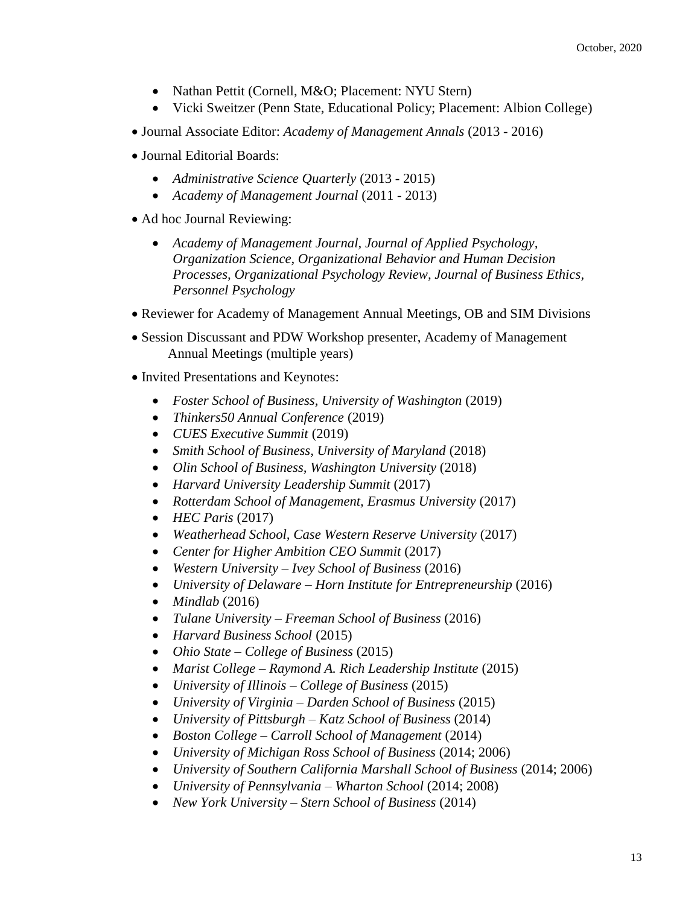- Nathan Pettit (Cornell, M&O; Placement: NYU Stern)
- Vicki Sweitzer (Penn State, Educational Policy; Placement: Albion College)
- Journal Associate Editor: *Academy of Management Annals* (2013 2016)
- Journal Editorial Boards:
	- *Administrative Science Quarterly* (2013 2015)
	- *Academy of Management Journal* (2011 2013)
- Ad hoc Journal Reviewing:
	- *Academy of Management Journal, Journal of Applied Psychology, Organization Science, Organizational Behavior and Human Decision Processes, Organizational Psychology Review, Journal of Business Ethics, Personnel Psychology*
- Reviewer for Academy of Management Annual Meetings, OB and SIM Divisions
- Session Discussant and PDW Workshop presenter, Academy of Management Annual Meetings (multiple years)
- Invited Presentations and Keynotes:
	- *Foster School of Business, University of Washington* (2019)
	- *Thinkers50 Annual Conference* (2019)
	- *CUES Executive Summit* (2019)
	- *Smith School of Business, University of Maryland* (2018)
	- *Olin School of Business, Washington University* (2018)
	- *Harvard University Leadership Summit* (2017)
	- *Rotterdam School of Management, Erasmus University* (2017)
	- *HEC Paris* (2017)
	- *Weatherhead School, Case Western Reserve University* (2017)
	- *Center for Higher Ambition CEO Summit* (2017)
	- *Western University – Ivey School of Business* (2016)
	- *University of Delaware – Horn Institute for Entrepreneurship* (2016)
	- *Mindlab* (2016)
	- *Tulane University – Freeman School of Business* (2016)
	- *Harvard Business School* (2015)
	- *Ohio State – College of Business* (2015)
	- *Marist College – Raymond A. Rich Leadership Institute* (2015)
	- *University of Illinois – College of Business* (2015)
	- *University of Virginia Darden School of Business* (2015)
	- *University of Pittsburgh – Katz School of Business* (2014)
	- *Boston College – Carroll School of Management* (2014)
	- *University of Michigan Ross School of Business* (2014; 2006)
	- *University of Southern California Marshall School of Business* (2014; 2006)
	- *University of Pennsylvania – Wharton School* (2014; 2008)
	- *New York University – Stern School of Business* (2014)